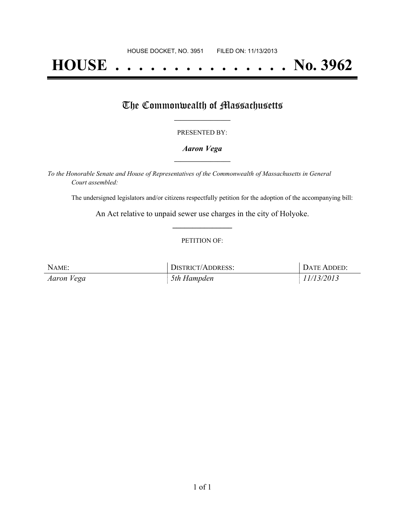# **HOUSE . . . . . . . . . . . . . . . No. 3962**

## The Commonwealth of Massachusetts

#### PRESENTED BY:

#### *Aaron Vega* **\_\_\_\_\_\_\_\_\_\_\_\_\_\_\_\_\_**

*To the Honorable Senate and House of Representatives of the Commonwealth of Massachusetts in General Court assembled:*

The undersigned legislators and/or citizens respectfully petition for the adoption of the accompanying bill:

An Act relative to unpaid sewer use charges in the city of Holyoke. **\_\_\_\_\_\_\_\_\_\_\_\_\_\_\_**

#### PETITION OF:

| NAME:      | <b>DISTRICT/ADDRESS:</b> | DATE ADDED: |
|------------|--------------------------|-------------|
| Aaron Vega | 5th Hampden              | 11/13/2013  |